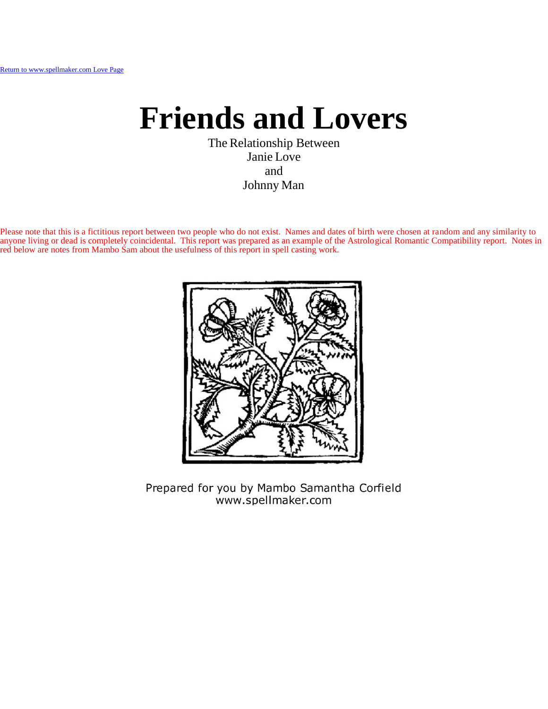# **Friends and Lovers**

The Relationship Between Janie Love and Johnny Man

Please note that this is a fictitious report between two people who do not exist. Names and dates of birth were chosen at random and any similarity to anyone living or dead is completely coincidental. This report was prepared as an example of the Astrological Romantic Compatibility report. Notes in red below are notes from Mambo Sam about the usefulness of this report in spell casting work.



Prepared for you by Mambo Samantha Corfield www.spellmaker.com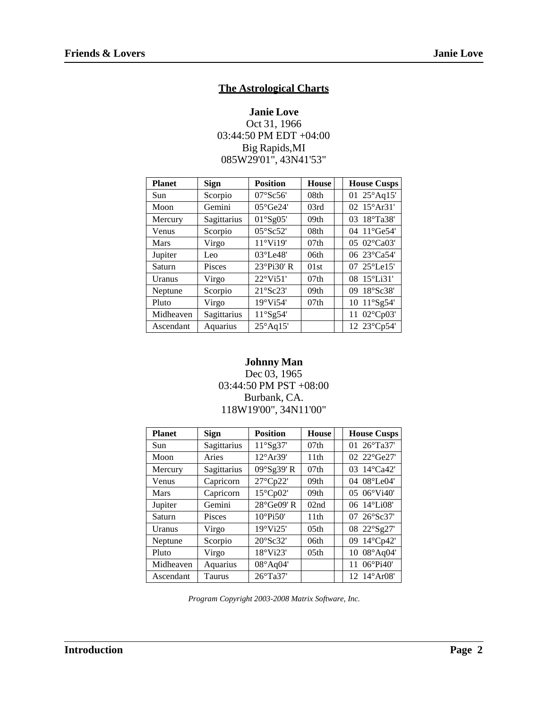## **The Astrological Charts**

**Janie Love** Oct 31, 1966 03:44:50 PM EDT +04:00 Big Rapids,MI 085W29'01", 43N41'53"

| <b>Planet</b> | <b>Sign</b> | <b>Position</b>              | House            | <b>House Cusps</b> |
|---------------|-------------|------------------------------|------------------|--------------------|
| Sun           | Scorpio     | 07°Sc56'                     | 08th             | 01 25°Aq15'        |
| Moon          | Gemini      | 05°Ge24'                     | 03rd             | 02 15°Ar31'        |
| Mercury       | Sagittarius | $01^{\circ}$ Sg $05^{\circ}$ | 09th             | 03 18°Ta38'        |
| Venus         | Scorpio     | 05°Sc52'                     | 08th             | 04 11°Ge54'        |
| Mars          | Virgo       | 11°Vi19'                     | 07 <sub>th</sub> | 05 02°Ca03'        |
| Jupiter       | Leo.        | $03^{\circ}$ Le48'           | 06th             | 06 23°Ca54'        |
| Saturn        | Pisces      | 23°Pi30'R                    | 01st             | 07 25°Le15'        |
| <b>Uranus</b> | Virgo       | $22^{\circ}$ Vi51'           | 07 <sub>th</sub> | 08 15°Li31'        |
| Neptune       | Scorpio     | 21°Sc23'                     | 09th             | 18°Sc38'<br>09     |
| Pluto         | Virgo       | 19°Vi54'                     | 07 <sub>th</sub> | 10 11°Sg54'        |
| Midheaven     | Sagittarius | 11°Sg54'                     |                  | 11 02°Cp03'        |
| Ascendant     | Aquarius    | $25^\circ$ Aq15'             |                  | 12 23°Cp54'        |

## **Johnny Man** Dec 03, 1965 03:44:50 PM PST +08:00 Burbank, CA. 118W19'00", 34N11'00"

| <b>Planet</b> | Sign          | <b>Position</b>    | House            | <b>House Cusps</b> |
|---------------|---------------|--------------------|------------------|--------------------|
| Sun           | Sagittarius   | 11°Sg37'           | 07th             | 01 26°Ta37'        |
| Moon          | Aries         | $12^{\circ}$ Ar39' | 11th             | 02 22°Ge27'        |
| Mercury       | Sagittarius   | 09°Sg39' R         | 07 <sub>th</sub> | 03 14°Ca42'        |
| Venus         | Capricorn     | 27°Cp22'           | 09th             | 04 08°Le04'        |
| Mars          | Capricorn     | $15^{\circ}$ Cp02' | 09 <sub>th</sub> | 05 06°Vi40'        |
| Jupiter       | Gemini        | 28°Ge09'R          | 02nd             | 06 14°Li08'        |
| Saturn        | Pisces        | 10°Pi50'           | 11 <sup>th</sup> | 07 26°Sc37'        |
| <b>Uranus</b> | Virgo         | 19°Vi25'           | 05 <sub>th</sub> | 08 22°Sg27'        |
| Neptune       | Scorpio       | $20^{\circ}$ Sc32' | 06th             | 09 14°Cp42'        |
| Pluto         | Virgo         | 18°Vi23'           | 05 <sub>th</sub> | 10 08°Aq04'        |
| Midheaven     | Aquarius      | 08°Aq04'           |                  | 11 06°Pi40'        |
| Ascendant     | <b>Taurus</b> | 26°Ta37'           |                  | 12 14°Ar08'        |

*Program Copyright 2003-2008 Matrix Software, Inc.*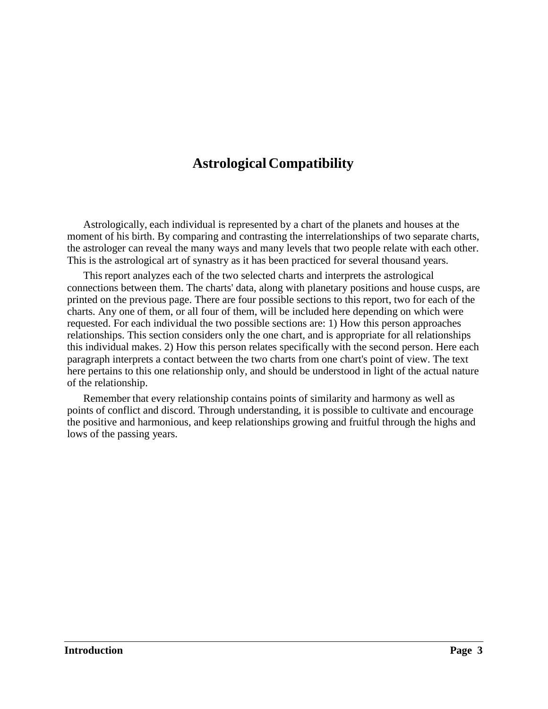# **Astrological Compatibility**

Astrologically, each individual is represented by a chart of the planets and houses at the moment of his birth. By comparing and contrasting the interrelationships of two separate charts, the astrologer can reveal the many ways and many levels that two people relate with each other. This is the astrological art of synastry as it has been practiced for several thousand years.

This report analyzes each of the two selected charts and interprets the astrological connections between them. The charts' data, along with planetary positions and house cusps, are printed on the previous page. There are four possible sections to this report, two for each of the charts. Any one of them, or all four of them, will be included here depending on which were requested. For each individual the two possible sections are: 1) How this person approaches relationships. This section considers only the one chart, and is appropriate for all relationships this individual makes. 2) How this person relates specifically with the second person. Here each paragraph interprets a contact between the two charts from one chart's point of view. The text here pertains to this one relationship only, and should be understood in light of the actual nature of the relationship.

Remember that every relationship contains points of similarity and harmony as well as points of conflict and discord. Through understanding, it is possible to cultivate and encourage the positive and harmonious, and keep relationships growing and fruitful through the highs and lows of the passing years.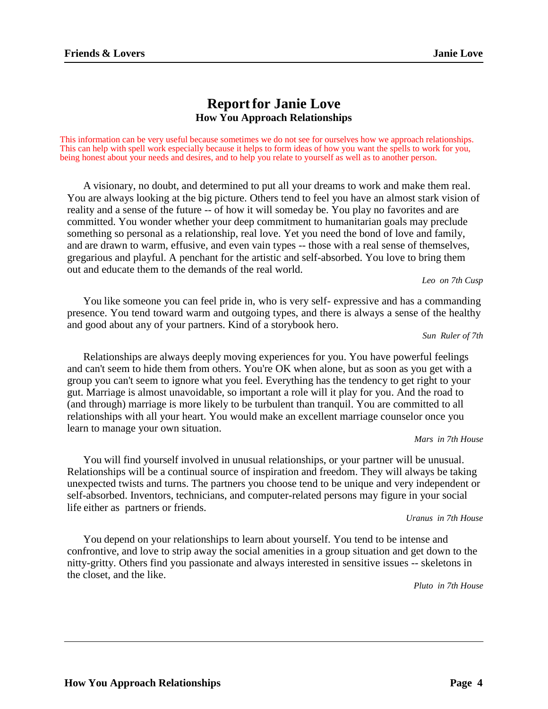## **Reportfor Janie Love How You Approach Relationships**

This information can be very useful because sometimes we do not see for ourselves how we approach relationships. This can help with spell work especially because it helps to form ideas of how you want the spells to work for you, being honest about your needs and desires, and to help you relate to yourself as well as to another person.

A visionary, no doubt, and determined to put all your dreams to work and make them real. You are always looking at the big picture. Others tend to feel you have an almost stark vision of reality and a sense of the future -- of how it will someday be. You play no favorites and are committed. You wonder whether your deep commitment to humanitarian goals may preclude something so personal as a relationship, real love. Yet you need the bond of love and family, and are drawn to warm, effusive, and even vain types -- those with a real sense of themselves, gregarious and playful. A penchant for the artistic and self-absorbed. You love to bring them out and educate them to the demands of the real world.

*Leo on 7th Cusp*

You like someone you can feel pride in, who is very self- expressive and has a commanding presence. You tend toward warm and outgoing types, and there is always a sense of the healthy and good about any of your partners. Kind of a storybook hero.

*Sun Ruler of 7th*

Relationships are always deeply moving experiences for you. You have powerful feelings and can't seem to hide them from others. You're OK when alone, but as soon as you get with a group you can't seem to ignore what you feel. Everything has the tendency to get right to your gut. Marriage is almost unavoidable, so important a role will it play for you. And the road to (and through) marriage is more likely to be turbulent than tranquil. You are committed to all relationships with all your heart. You would make an excellent marriage counselor once you learn to manage your own situation.

#### *Mars in 7th House*

You will find yourself involved in unusual relationships, or your partner will be unusual. Relationships will be a continual source of inspiration and freedom. They will always be taking unexpected twists and turns. The partners you choose tend to be unique and very independent or self-absorbed. Inventors, technicians, and computer-related persons may figure in your social life either as partners or friends.

*Uranus in 7th House*

You depend on your relationships to learn about yourself. You tend to be intense and confrontive, and love to strip away the social amenities in a group situation and get down to the nitty-gritty. Others find you passionate and always interested in sensitive issues -- skeletons in the closet, and the like.

*Pluto in 7th House*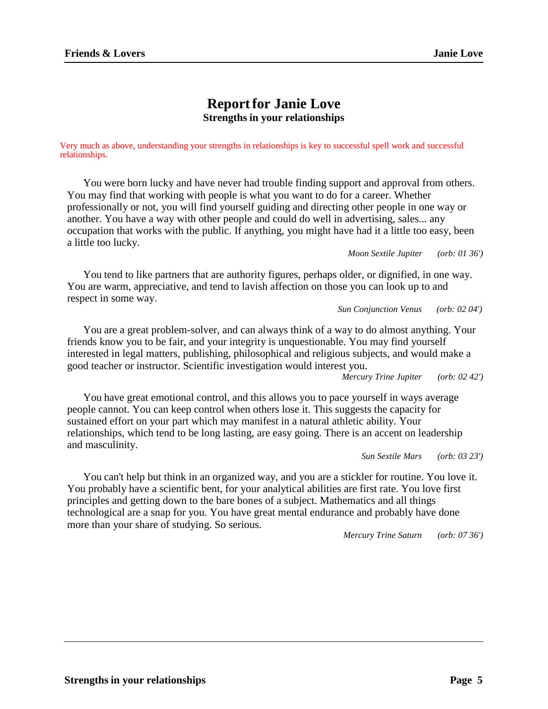## **Reportfor Janie Love Strengths in your relationships**

Very much as above, understanding your strengths in relationships is key to successful spell work and successful relationships.

You were born lucky and have never had trouble finding support and approval from others. You may find that working with people is what you want to do for a career. Whether professionally or not, you will find yourself guiding and directing other people in one way or another. You have a way with other people and could do well in advertising, sales... any occupation that works with the public. If anything, you might have had it a little too easy, been a little too lucky.

*Moon Sextile Jupiter (orb: 01 36')*

You tend to like partners that are authority figures, perhaps older, or dignified, in one way. You are warm, appreciative, and tend to lavish affection on those you can look up to and respect in some way.

*Sun Conjunction Venus (orb: 02 04')*

You are a great problem-solver, and can always think of a way to do almost anything. Your friends know you to be fair, and your integrity is unquestionable. You may find yourself interested in legal matters, publishing, philosophical and religious subjects, and would make a good teacher or instructor. Scientific investigation would interest you.

*Mercury Trine Jupiter (orb: 02 42')*

You have great emotional control, and this allows you to pace yourself in ways average people cannot. You can keep control when others lose it. This suggests the capacity for sustained effort on your part which may manifest in a natural athletic ability. Your relationships, which tend to be long lasting, are easy going. There is an accent on leadership and masculinity.

*Sun Sextile Mars (orb: 03 23')*

You can't help but think in an organized way, and you are a stickler for routine. You love it. You probably have a scientific bent, for your analytical abilities are first rate. You love first principles and getting down to the bare bones of a subject. Mathematics and all things technological are a snap for you. You have great mental endurance and probably have done more than your share of studying. So serious.

*Mercury Trine Saturn (orb: 07 36')*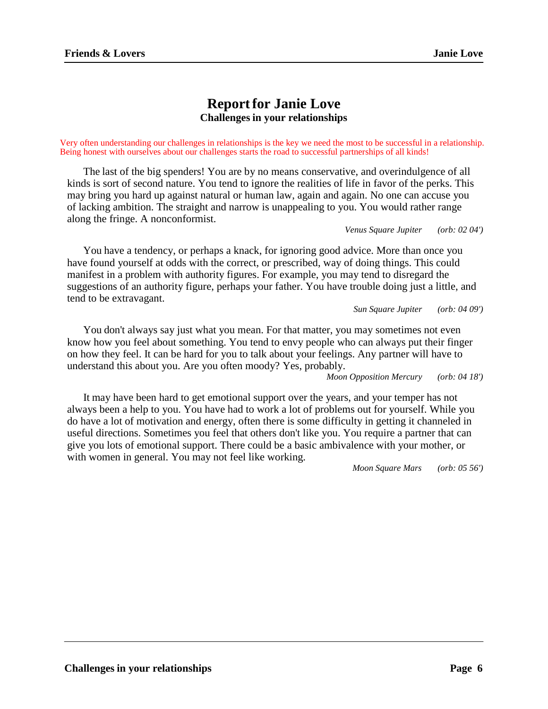# **Reportfor Janie Love Challenges in your relationships**

Very often understanding our challenges in relationships is the key we need the most to be successful in a relationship. Being honest with ourselves about our challenges starts the road to successful partnerships of all kinds!

The last of the big spenders! You are by no means conservative, and overindulgence of all kinds is sort of second nature. You tend to ignore the realities of life in favor of the perks. This may bring you hard up against natural or human law, again and again. No one can accuse you of lacking ambition. The straight and narrow is unappealing to you. You would rather range along the fringe. A nonconformist.

*Venus Square Jupiter (orb: 02 04')*

You have a tendency, or perhaps a knack, for ignoring good advice. More than once you have found yourself at odds with the correct, or prescribed, way of doing things. This could manifest in a problem with authority figures. For example, you may tend to disregard the suggestions of an authority figure, perhaps your father. You have trouble doing just a little, and tend to be extravagant.

*Sun Square Jupiter (orb: 04 09')*

You don't always say just what you mean. For that matter, you may sometimes not even know how you feel about something. You tend to envy people who can always put their finger on how they feel. It can be hard for you to talk about your feelings. Any partner will have to understand this about you. Are you often moody? Yes, probably.

*Moon Opposition Mercury (orb: 04 18')*

It may have been hard to get emotional support over the years, and your temper has not always been a help to you. You have had to work a lot of problems out for yourself. While you do have a lot of motivation and energy, often there is some difficulty in getting it channeled in useful directions. Sometimes you feel that others don't like you. You require a partner that can give you lots of emotional support. There could be a basic ambivalence with your mother, or with women in general. You may not feel like working.

*Moon Square Mars (orb: 05 56')*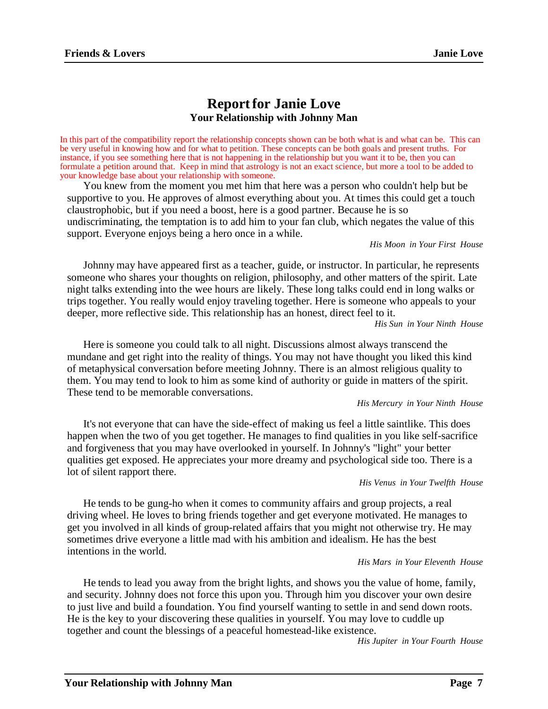## **Reportfor Janie Love Your Relationship with Johnny Man**

In this part of the compatibility report the relationship concepts shown can be both what is and what can be. This can be very useful in knowing how and for what to petition. These concepts can be both goals and present truths. For instance, if you see something here that is not happening in the relationship but you want it to be, then you can formulate a petition around that. Keep in mind that astrology is not an exact science, but more a tool to be added to your knowledge base about your relationship with someone.

You knew from the moment you met him that here was a person who couldn't help but be supportive to you. He approves of almost everything about you. At times this could get a touch claustrophobic, but if you need a boost, here is a good partner. Because he is so undiscriminating, the temptation is to add him to your fan club, which negates the value of this support. Everyone enjoys being a hero once in a while.

#### *His Moon in Your First House*

Johnny may have appeared first as a teacher, guide, or instructor. In particular, he represents someone who shares your thoughts on religion, philosophy, and other matters of the spirit. Late night talks extending into the wee hours are likely. These long talks could end in long walks or trips together. You really would enjoy traveling together. Here is someone who appeals to your deeper, more reflective side. This relationship has an honest, direct feel to it.

*His Sun in Your Ninth House*

Here is someone you could talk to all night. Discussions almost always transcend the mundane and get right into the reality of things. You may not have thought you liked this kind of metaphysical conversation before meeting Johnny. There is an almost religious quality to them. You may tend to look to him as some kind of authority or guide in matters of the spirit. These tend to be memorable conversations.

#### *His Mercury in Your Ninth House*

It's not everyone that can have the side-effect of making us feel a little saintlike. This does happen when the two of you get together. He manages to find qualities in you like self-sacrifice and forgiveness that you may have overlooked in yourself. In Johnny's "light" your better qualities get exposed. He appreciates your more dreamy and psychological side too. There is a lot of silent rapport there.

#### *His Venus in Your Twelfth House*

He tends to be gung-ho when it comes to community affairs and group projects, a real driving wheel. He loves to bring friends together and get everyone motivated. He manages to get you involved in all kinds of group-related affairs that you might not otherwise try. He may sometimes drive everyone a little mad with his ambition and idealism. He has the best intentions in the world.

#### *His Mars in Your Eleventh House*

He tends to lead you away from the bright lights, and shows you the value of home, family, and security. Johnny does not force this upon you. Through him you discover your own desire to just live and build a foundation. You find yourself wanting to settle in and send down roots. He is the key to your discovering these qualities in yourself. You may love to cuddle up together and count the blessings of a peaceful homestead-like existence.

*His Jupiter in Your Fourth House*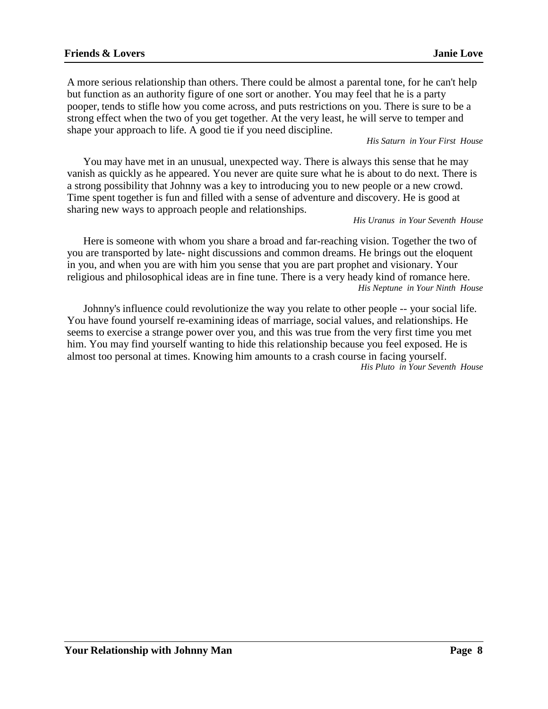A more serious relationship than others. There could be almost a parental tone, for he can't help but function as an authority figure of one sort or another. You may feel that he is a party pooper, tends to stifle how you come across, and puts restrictions on you. There is sure to be a strong effect when the two of you get together. At the very least, he will serve to temper and shape your approach to life. A good tie if you need discipline.

#### *His Saturn in Your First House*

You may have met in an unusual, unexpected way. There is always this sense that he may vanish as quickly as he appeared. You never are quite sure what he is about to do next. There is a strong possibility that Johnny was a key to introducing you to new people or a new crowd. Time spent together is fun and filled with a sense of adventure and discovery. He is good at sharing new ways to approach people and relationships.

#### *His Uranus in Your Seventh House*

Here is someone with whom you share a broad and far-reaching vision. Together the two of you are transported by late- night discussions and common dreams. He brings out the eloquent in you, and when you are with him you sense that you are part prophet and visionary. Your religious and philosophical ideas are in fine tune. There is a very heady kind of romance here. *His Neptune in Your Ninth House*

Johnny's influence could revolutionize the way you relate to other people -- your social life. You have found yourself re-examining ideas of marriage, social values, and relationships. He seems to exercise a strange power over you, and this was true from the very first time you met him. You may find yourself wanting to hide this relationship because you feel exposed. He is almost too personal at times. Knowing him amounts to a crash course in facing yourself. *His Pluto in Your Seventh House*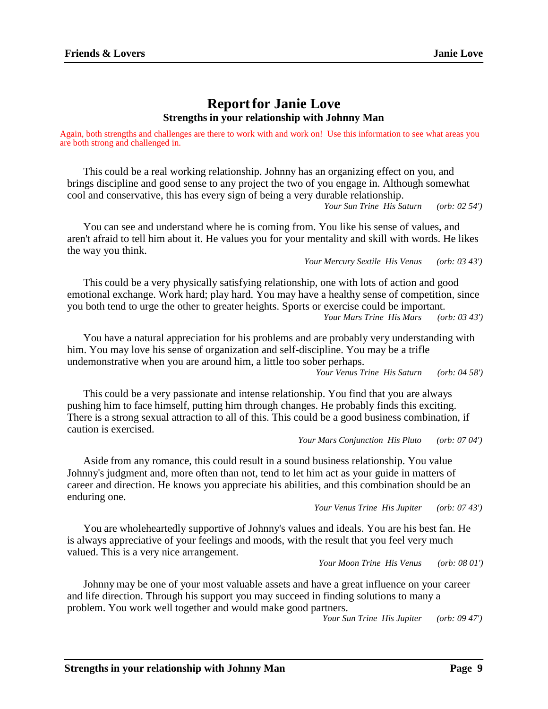# **Reportfor Janie Love Strengths in your relationship with Johnny Man**

Again, both strengths and challenges are there to work with and work on! Use this information to see what areas you are both strong and challenged in.

This could be a real working relationship. Johnny has an organizing effect on you, and brings discipline and good sense to any project the two of you engage in. Although somewhat cool and conservative, this has every sign of being a very durable relationship.

*Your Sun Trine His Saturn (orb: 02 54')*

You can see and understand where he is coming from. You like his sense of values, and aren't afraid to tell him about it. He values you for your mentality and skill with words. He likes the way you think.

*Your Mercury Sextile His Venus (orb: 03 43')*

This could be a very physically satisfying relationship, one with lots of action and good emotional exchange. Work hard; play hard. You may have a healthy sense of competition, since you both tend to urge the other to greater heights. Sports or exercise could be important. *Your Mars Trine His Mars (orb: 03 43')*

You have a natural appreciation for his problems and are probably very understanding with him. You may love his sense of organization and self-discipline. You may be a trifle undemonstrative when you are around him, a little too sober perhaps.

*Your Venus Trine His Saturn (orb: 04 58')*

This could be a very passionate and intense relationship. You find that you are always pushing him to face himself, putting him through changes. He probably finds this exciting. There is a strong sexual attraction to all of this. This could be a good business combination, if caution is exercised.

*Your Mars Conjunction His Pluto (orb: 07 04')*

Aside from any romance, this could result in a sound business relationship. You value Johnny's judgment and, more often than not, tend to let him act as your guide in matters of career and direction. He knows you appreciate his abilities, and this combination should be an enduring one.

*Your Venus Trine His Jupiter (orb: 07 43')*

You are wholeheartedly supportive of Johnny's values and ideals. You are his best fan. He is always appreciative of your feelings and moods, with the result that you feel very much valued. This is a very nice arrangement.

*Your Moon Trine His Venus (orb: 08 01')*

Johnny may be one of your most valuable assets and have a great influence on your career and life direction. Through his support you may succeed in finding solutions to many a problem. You work well together and would make good partners.

*Your Sun Trine His Jupiter (orb: 09 47')*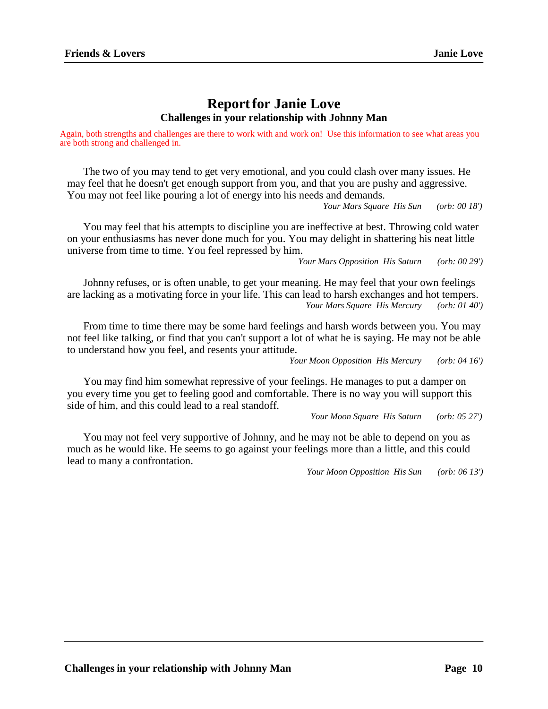# **Reportfor Janie Love Challenges in your relationship with Johnny Man**

Again, both strengths and challenges are there to work with and work on! Use this information to see what areas you are both strong and challenged in.

The two of you may tend to get very emotional, and you could clash over many issues. He may feel that he doesn't get enough support from you, and that you are pushy and aggressive. You may not feel like pouring a lot of energy into his needs and demands.

*Your Mars Square His Sun (orb: 00 18')*

You may feel that his attempts to discipline you are ineffective at best. Throwing cold water on your enthusiasms has never done much for you. You may delight in shattering his neat little universe from time to time. You feel repressed by him.

*Your Mars Opposition His Saturn (orb: 00 29')*

Johnny refuses, or is often unable, to get your meaning. He may feel that your own feelings are lacking as a motivating force in your life. This can lead to harsh exchanges and hot tempers. *Your Mars Square His Mercury (orb: 01 40')*

From time to time there may be some hard feelings and harsh words between you. You may not feel like talking, or find that you can't support a lot of what he is saying. He may not be able to understand how you feel, and resents your attitude.

*Your Moon Opposition His Mercury (orb: 04 16')*

You may find him somewhat repressive of your feelings. He manages to put a damper on you every time you get to feeling good and comfortable. There is no way you will support this side of him, and this could lead to a real standoff.

*Your Moon Square His Saturn (orb: 05 27')*

You may not feel very supportive of Johnny, and he may not be able to depend on you as much as he would like. He seems to go against your feelings more than a little, and this could lead to many a confrontation.

*Your Moon Opposition His Sun (orb: 06 13')*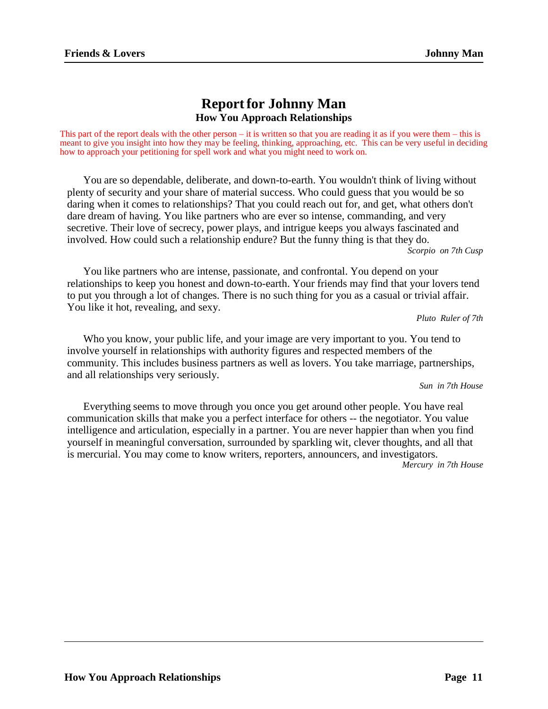# **Reportfor Johnny Man How You Approach Relationships**

This part of the report deals with the other person – it is written so that you are reading it as if you were them – this is meant to give you insight into how they may be feeling, thinking, approaching, etc. This can be very useful in deciding how to approach your petitioning for spell work and what you might need to work on.

You are so dependable, deliberate, and down-to-earth. You wouldn't think of living without plenty of security and your share of material success. Who could guess that you would be so daring when it comes to relationships? That you could reach out for, and get, what others don't dare dream of having. You like partners who are ever so intense, commanding, and very secretive. Their love of secrecy, power plays, and intrigue keeps you always fascinated and involved. How could such a relationship endure? But the funny thing is that they do.

*Scorpio on 7th Cusp*

You like partners who are intense, passionate, and confrontal. You depend on your relationships to keep you honest and down-to-earth. Your friends may find that your lovers tend to put you through a lot of changes. There is no such thing for you as a casual or trivial affair. You like it hot, revealing, and sexy.

*Pluto Ruler of 7th*

Who you know, your public life, and your image are very important to you. You tend to involve yourself in relationships with authority figures and respected members of the community. This includes business partners as well as lovers. You take marriage, partnerships, and all relationships very seriously.

#### *Sun in 7th House*

Everything seems to move through you once you get around other people. You have real communication skills that make you a perfect interface for others -- the negotiator. You value intelligence and articulation, especially in a partner. You are never happier than when you find yourself in meaningful conversation, surrounded by sparkling wit, clever thoughts, and all that is mercurial. You may come to know writers, reporters, announcers, and investigators. *Mercury in 7th House*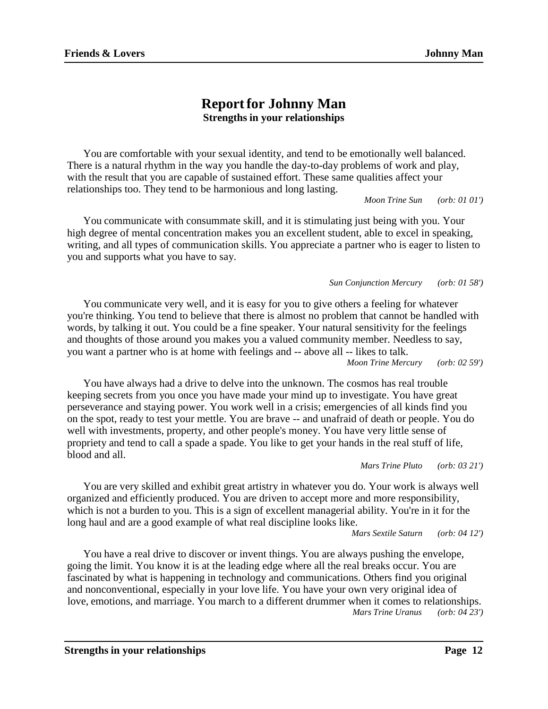# **Reportfor Johnny Man Strengths in your relationships**

You are comfortable with your sexual identity, and tend to be emotionally well balanced. There is a natural rhythm in the way you handle the day-to-day problems of work and play, with the result that you are capable of sustained effort. These same qualities affect your relationships too. They tend to be harmonious and long lasting.

*Moon Trine Sun (orb: 01 01')*

You communicate with consummate skill, and it is stimulating just being with you. Your high degree of mental concentration makes you an excellent student, able to excel in speaking, writing, and all types of communication skills. You appreciate a partner who is eager to listen to you and supports what you have to say.

*Sun Conjunction Mercury (orb: 01 58')*

You communicate very well, and it is easy for you to give others a feeling for whatever you're thinking. You tend to believe that there is almost no problem that cannot be handled with words, by talking it out. You could be a fine speaker. Your natural sensitivity for the feelings and thoughts of those around you makes you a valued community member. Needless to say, you want a partner who is at home with feelings and -- above all -- likes to talk. *Moon Trine Mercury (orb: 02 59')*

You have always had a drive to delve into the unknown. The cosmos has real trouble keeping secrets from you once you have made your mind up to investigate. You have great perseverance and staying power. You work well in a crisis; emergencies of all kinds find you on the spot, ready to test your mettle. You are brave -- and unafraid of death or people. You do well with investments, property, and other people's money. You have very little sense of propriety and tend to call a spade a spade. You like to get your hands in the real stuff of life, blood and all.

*Mars Trine Pluto (orb: 03 21')*

You are very skilled and exhibit great artistry in whatever you do. Your work is always well organized and efficiently produced. You are driven to accept more and more responsibility, which is not a burden to you. This is a sign of excellent managerial ability. You're in it for the long haul and are a good example of what real discipline looks like.

*Mars Sextile Saturn (orb: 04 12')*

You have a real drive to discover or invent things. You are always pushing the envelope, going the limit. You know it is at the leading edge where all the real breaks occur. You are fascinated by what is happening in technology and communications. Others find you original and nonconventional, especially in your love life. You have your own very original idea of love, emotions, and marriage. You march to a different drummer when it comes to relationships. *Mars Trine Uranus (orb: 04 23')*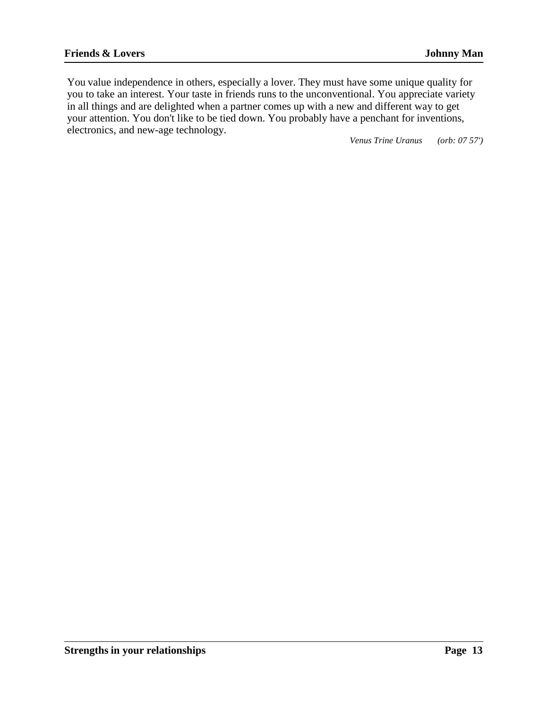You value independence in others, especially a lover. They must have some unique quality for you to take an interest. Your taste in friends runs to the unconventional. You appreciate variety in all things and are delighted when a partner comes up with a new and different way to get your attention. You don't like to be tied down. You probably have a penchant for inventions, electronics, and new-age technology.

*Venus Trine Uranus (orb: 07 57')*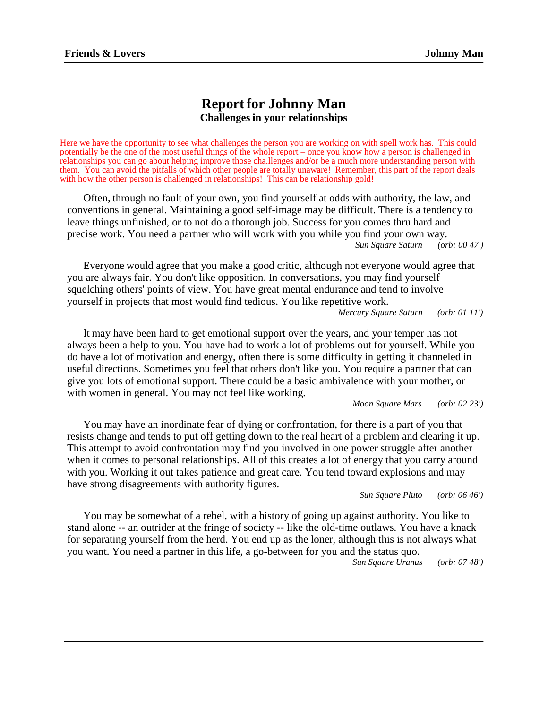## **Reportfor Johnny Man Challenges in your relationships**

Here we have the opportunity to see what challenges the person you are working on with spell work has. This could potentially be the one of the most useful things of the whole report – once you know how a person is challenged in relationships you can go about helping improve those cha.llenges and/or be a much more understanding person with them. You can avoid the pitfalls of which other people are totally unaware! Remember, this part of the report deals with how the other person is challenged in relationships! This can be relationship gold!

Often, through no fault of your own, you find yourself at odds with authority, the law, and conventions in general. Maintaining a good self-image may be difficult. There is a tendency to leave things unfinished, or to not do a thorough job. Success for you comes thru hard and precise work. You need a partner who will work with you while you find your own way. *Sun Square Saturn (orb: 00 47')*

Everyone would agree that you make a good critic, although not everyone would agree that you are always fair. You don't like opposition. In conversations, you may find yourself squelching others' points of view. You have great mental endurance and tend to involve yourself in projects that most would find tedious. You like repetitive work.

*Mercury Square Saturn (orb: 01 11')*

It may have been hard to get emotional support over the years, and your temper has not always been a help to you. You have had to work a lot of problems out for yourself. While you do have a lot of motivation and energy, often there is some difficulty in getting it channeled in useful directions. Sometimes you feel that others don't like you. You require a partner that can give you lots of emotional support. There could be a basic ambivalence with your mother, or with women in general. You may not feel like working.

*Moon Square Mars (orb: 02 23')*

You may have an inordinate fear of dying or confrontation, for there is a part of you that resists change and tends to put off getting down to the real heart of a problem and clearing it up. This attempt to avoid confrontation may find you involved in one power struggle after another when it comes to personal relationships. All of this creates a lot of energy that you carry around with you. Working it out takes patience and great care. You tend toward explosions and may have strong disagreements with authority figures.

*Sun Square Pluto (orb: 06 46')*

You may be somewhat of a rebel, with a history of going up against authority. You like to stand alone -- an outrider at the fringe of society -- like the old-time outlaws. You have a knack for separating yourself from the herd. You end up as the loner, although this is not always what you want. You need a partner in this life, a go-between for you and the status quo.

*Sun Square Uranus (orb: 07 48')*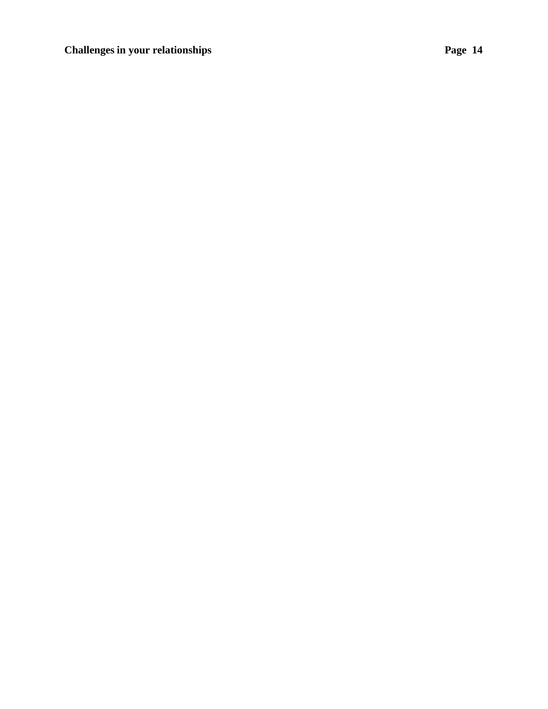**Challenges in your relationships Page 14**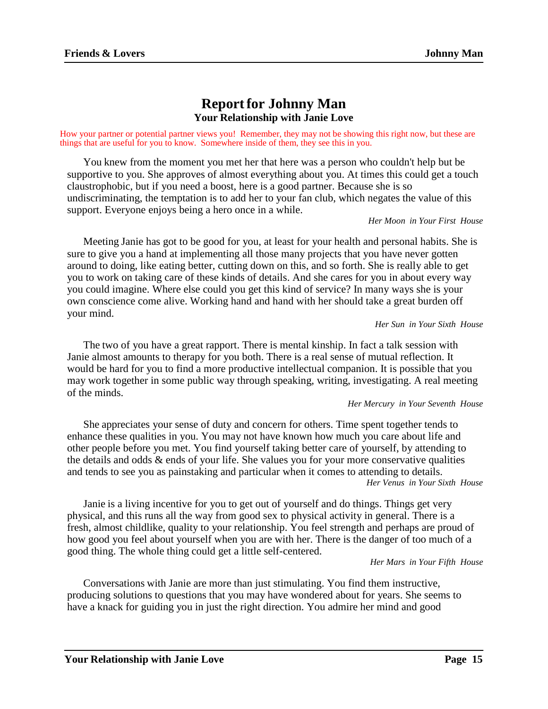# **Reportfor Johnny Man Your Relationship with Janie Love**

How your partner or potential partner views you! Remember, they may not be showing this right now, but these are things that are useful for you to know. Somewhere inside of them, they see this in you.

You knew from the moment you met her that here was a person who couldn't help but be supportive to you. She approves of almost everything about you. At times this could get a touch claustrophobic, but if you need a boost, here is a good partner. Because she is so undiscriminating, the temptation is to add her to your fan club, which negates the value of this support. Everyone enjoys being a hero once in a while.

#### *Her Moon in Your First House*

Meeting Janie has got to be good for you, at least for your health and personal habits. She is sure to give you a hand at implementing all those many projects that you have never gotten around to doing, like eating better, cutting down on this, and so forth. She is really able to get you to work on taking care of these kinds of details. And she cares for you in about every way you could imagine. Where else could you get this kind of service? In many ways she is your own conscience come alive. Working hand and hand with her should take a great burden off your mind.

#### *Her Sun in Your Sixth House*

The two of you have a great rapport. There is mental kinship. In fact a talk session with Janie almost amounts to therapy for you both. There is a real sense of mutual reflection. It would be hard for you to find a more productive intellectual companion. It is possible that you may work together in some public way through speaking, writing, investigating. A real meeting of the minds.

#### *Her Mercury in Your Seventh House*

She appreciates your sense of duty and concern for others. Time spent together tends to enhance these qualities in you. You may not have known how much you care about life and other people before you met. You find yourself taking better care of yourself, by attending to the details and odds  $&$  ends of your life. She values you for your more conservative qualities and tends to see you as painstaking and particular when it comes to attending to details. *Her Venus in Your Sixth House*

Janie is a living incentive for you to get out of yourself and do things. Things get very physical, and this runs all the way from good sex to physical activity in general. There is a fresh, almost childlike, quality to your relationship. You feel strength and perhaps are proud of how good you feel about yourself when you are with her. There is the danger of too much of a good thing. The whole thing could get a little self-centered.

#### *Her Mars in Your Fifth House*

Conversations with Janie are more than just stimulating. You find them instructive, producing solutions to questions that you may have wondered about for years. She seems to have a knack for guiding you in just the right direction. You admire her mind and good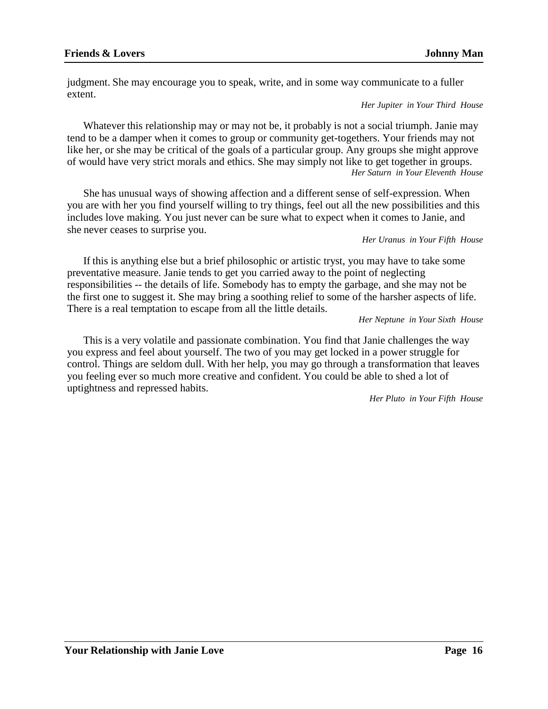judgment. She may encourage you to speak, write, and in some way communicate to a fuller extent.

*Her Jupiter in Your Third House*

Whatever this relationship may or may not be, it probably is not a social triumph. Janie may tend to be a damper when it comes to group or community get-togethers. Your friends may not like her, or she may be critical of the goals of a particular group. Any groups she might approve of would have very strict morals and ethics. She may simply not like to get together in groups. *Her Saturn in Your Eleventh House*

She has unusual ways of showing affection and a different sense of self-expression. When you are with her you find yourself willing to try things, feel out all the new possibilities and this includes love making. You just never can be sure what to expect when it comes to Janie, and she never ceases to surprise you.

#### *Her Uranus in Your Fifth House*

If this is anything else but a brief philosophic or artistic tryst, you may have to take some preventative measure. Janie tends to get you carried away to the point of neglecting responsibilities -- the details of life. Somebody has to empty the garbage, and she may not be the first one to suggest it. She may bring a soothing relief to some of the harsher aspects of life. There is a real temptation to escape from all the little details.

### *Her Neptune in Your Sixth House*

This is a very volatile and passionate combination. You find that Janie challenges the way you express and feel about yourself. The two of you may get locked in a power struggle for control. Things are seldom dull. With her help, you may go through a transformation that leaves you feeling ever so much more creative and confident. You could be able to shed a lot of uptightness and repressed habits.

*Her Pluto in Your Fifth House*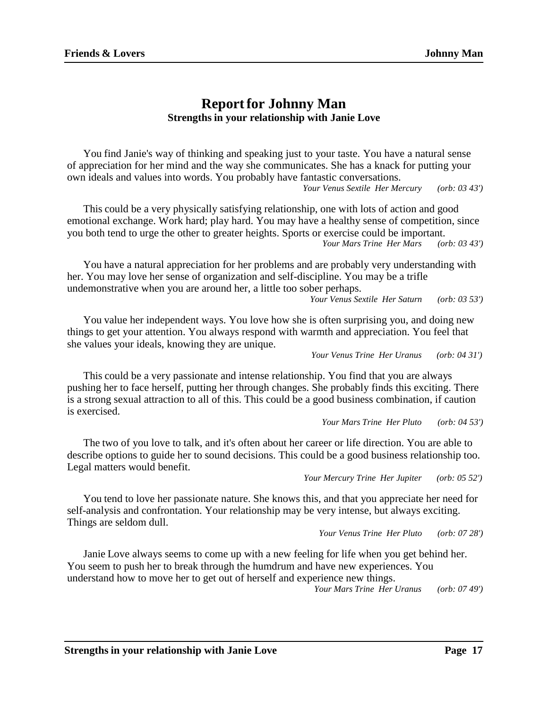# **Reportfor Johnny Man Strengths in your relationship with Janie Love**

You find Janie's way of thinking and speaking just to your taste. You have a natural sense of appreciation for her mind and the way she communicates. She has a knack for putting your own ideals and values into words. You probably have fantastic conversations.

*Your Venus Sextile Her Mercury (orb: 03 43')*

This could be a very physically satisfying relationship, one with lots of action and good emotional exchange. Work hard; play hard. You may have a healthy sense of competition, since you both tend to urge the other to greater heights. Sports or exercise could be important. *Your Mars Trine Her Mars (orb: 03 43')*

You have a natural appreciation for her problems and are probably very understanding with her. You may love her sense of organization and self-discipline. You may be a trifle undemonstrative when you are around her, a little too sober perhaps.

*Your Venus Sextile Her Saturn (orb: 03 53')*

You value her independent ways. You love how she is often surprising you, and doing new things to get your attention. You always respond with warmth and appreciation. You feel that she values your ideals, knowing they are unique.

*Your Venus Trine Her Uranus (orb: 04 31')*

This could be a very passionate and intense relationship. You find that you are always pushing her to face herself, putting her through changes. She probably finds this exciting. There is a strong sexual attraction to all of this. This could be a good business combination, if caution is exercised.

*Your Mars Trine Her Pluto (orb: 04 53')*

The two of you love to talk, and it's often about her career or life direction. You are able to describe options to guide her to sound decisions. This could be a good business relationship too. Legal matters would benefit.

*Your Mercury Trine Her Jupiter (orb: 05 52')*

You tend to love her passionate nature. She knows this, and that you appreciate her need for self-analysis and confrontation. Your relationship may be very intense, but always exciting. Things are seldom dull.

*Your Venus Trine Her Pluto (orb: 07 28')*

Janie Love always seems to come up with a new feeling for life when you get behind her. You seem to push her to break through the humdrum and have new experiences. You understand how to move her to get out of herself and experience new things. *Your Mars Trine Her Uranus (orb: 07 49')*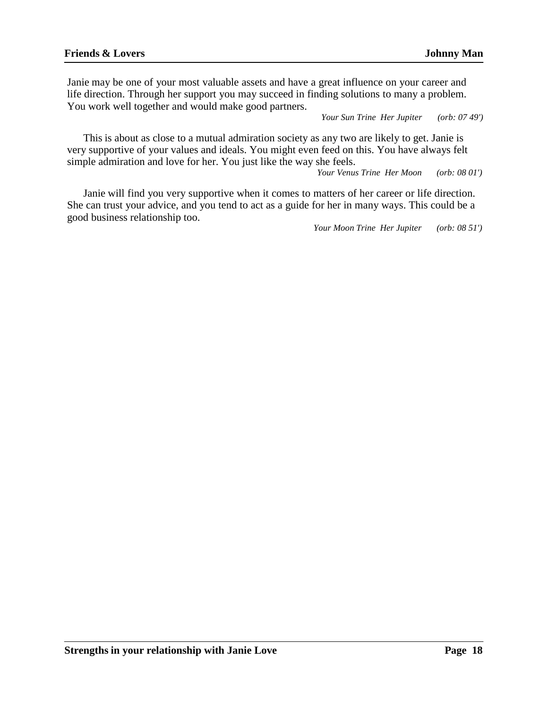Janie may be one of your most valuable assets and have a great influence on your career and life direction. Through her support you may succeed in finding solutions to many a problem. You work well together and would make good partners.

*Your Sun Trine Her Jupiter (orb: 07 49')*

This is about as close to a mutual admiration society as any two are likely to get. Janie is very supportive of your values and ideals. You might even feed on this. You have always felt simple admiration and love for her. You just like the way she feels.

*Your Venus Trine Her Moon (orb: 08 01')*

Janie will find you very supportive when it comes to matters of her career or life direction. She can trust your advice, and you tend to act as a guide for her in many ways. This could be a good business relationship too.

*Your Moon Trine Her Jupiter (orb: 08 51')*